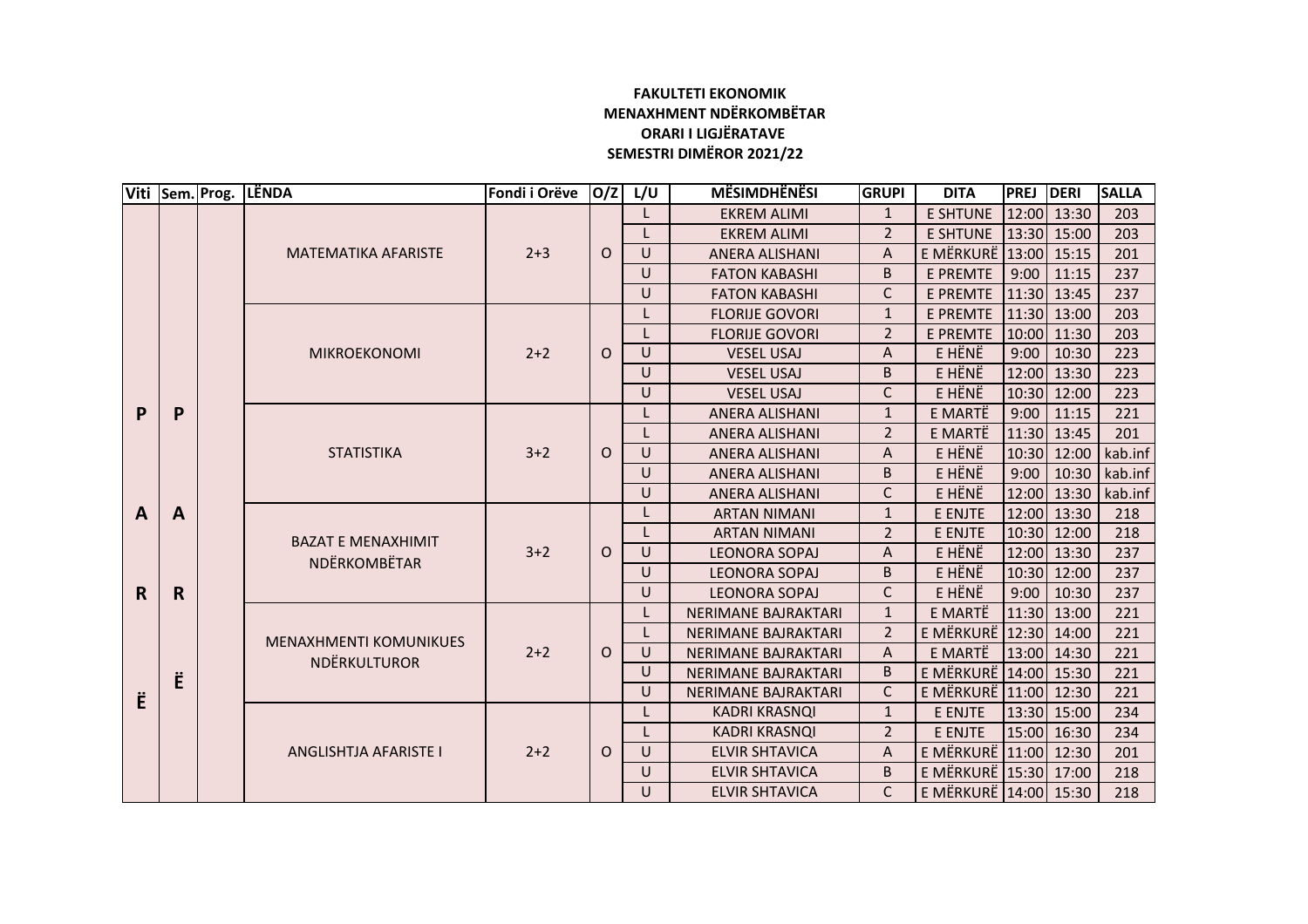## **FAKULTETI EKONOMIK MENAXHMENT NDËRKOMBËTAR ORARI I LIGJËRATAVE SEMESTRI DIMËROR 2021/22**

|              |                  | Viti Sem. Prog. | LËNDA                                                | Fondi i Orëve | O/Z      | L/U                             | <b>MËSIMDHËNËSI</b>        | <b>GRUPI</b>   | <b>DITA</b>           | <b>PREJ</b> | DERI          | <b>SALLA</b> |
|--------------|------------------|-----------------|------------------------------------------------------|---------------|----------|---------------------------------|----------------------------|----------------|-----------------------|-------------|---------------|--------------|
|              |                  |                 | <b>MATEMATIKA AFARISTE</b>                           |               |          |                                 | <b>EKREM ALIMI</b>         | $\mathbf{1}$   | <b>E SHTUNE</b>       |             | 12:00 13:30   | 203          |
|              |                  |                 |                                                      |               |          |                                 | <b>EKREM ALIMI</b>         | $\overline{2}$ | <b>E SHTUNE</b>       |             | 13:30 15:00   | 203          |
|              |                  |                 |                                                      | $2 + 3$       | $\circ$  | $\cup$                          | <b>ANERA ALISHANI</b>      | A              | E MËRKURË             |             | $13:00$ 15:15 | 201          |
|              |                  |                 |                                                      |               |          | U                               | <b>FATON KABASHI</b>       | B              | <b>E PREMTE</b>       | 9:00        | 11:15         | 237          |
|              |                  |                 |                                                      |               |          | U                               | <b>FATON KABASHI</b>       | C              | E PREMTE              | 11:30       | 13:45         | 237          |
|              |                  |                 | <b>MIKROEKONOMI</b>                                  | $2 + 2$       | $\Omega$ |                                 | <b>FLORIJE GOVORI</b>      | $\mathbf{1}$   | <b>E PREMTE</b>       | 11:30       | 13:00         | 203          |
|              |                  |                 |                                                      |               |          |                                 | <b>FLORIJE GOVORI</b>      | $\overline{2}$ | <b>E PREMTE</b>       | 10:00       | 11:30         | 203          |
|              |                  |                 |                                                      |               |          | $\cup$                          | <b>VESEL USAJ</b>          | А              | E HËNË                | 9:00        | 10:30         | 223          |
|              |                  |                 |                                                      |               |          | U                               | <b>VESEL USAJ</b>          | B              | E HËNË                |             | 12:00 13:30   | 223          |
|              |                  |                 |                                                      |               |          | U                               | <b>VESEL USAJ</b>          | C              | E HËNË                | 10:30       | 12:00         | 223          |
| P            | P                |                 | <b>STATISTIKA</b>                                    |               |          |                                 | <b>ANERA ALISHANI</b>      | $\mathbf{1}$   | E MARTË               | 9:00        | 11:15         | 221          |
|              |                  |                 |                                                      | $3 + 2$       |          |                                 | <b>ANERA ALISHANI</b>      | $\overline{2}$ | E MARTË               | 11:30       | 13:45         | 201          |
|              |                  |                 |                                                      |               | $\circ$  | U                               | <b>ANERA ALISHANI</b>      | A              | E HËNË                | 10:30       | 12:00         | kab.inf      |
|              |                  |                 |                                                      |               |          | U                               | <b>ANERA ALISHANI</b>      | B              | E HËNË                | 9:00        | 10:30         | kab.inf      |
|              |                  |                 |                                                      |               |          | U                               | <b>ANERA ALISHANI</b>      | C              | E HËNË                | 12:00       | 13:30         | kab.inf      |
| $\mathbf{A}$ | A<br>$\mathbf R$ |                 | <b>BAZAT E MENAXHIMIT</b><br><b>NDËRKOMBËTAR</b>     | $3 + 2$       |          |                                 | <b>ARTAN NIMANI</b>        | $\mathbf{1}$   | E ENJTE               |             | 12:00 13:30   | 218          |
|              |                  |                 |                                                      |               |          |                                 | <b>ARTAN NIMANI</b>        | $\overline{2}$ | E ENJTE               | 10:30       | 12:00         | 218          |
|              |                  |                 |                                                      |               | $\circ$  | U                               | <b>LEONORA SOPAJ</b>       | A              | E HËNË                | 12:00       | 13:30         | 237          |
|              |                  |                 |                                                      |               |          | $\cup$                          | <b>LEONORA SOPAJ</b>       | B              | E HËNË                | 10:30       | 12:00         | 237          |
| $\mathbf R$  |                  |                 |                                                      |               |          | $\cup$                          | <b>LEONORA SOPAJ</b>       | C              | E HËNË                | 9:00        | 10:30         | 237          |
|              |                  |                 | <b>MENAXHMENTI KOMUNIKUES</b><br><b>NDËRKULTUROR</b> |               |          |                                 | <b>NERIMANE BAJRAKTARI</b> | $\mathbf{1}$   | E MARTË               |             | 11:30 13:00   | 221          |
|              | Ë                |                 |                                                      |               |          | 2<br><b>NERIMANE BAJRAKTARI</b> | E MËRKURË                  | 12:30          | 14:00                 | 221         |               |              |
|              |                  |                 |                                                      | $2 + 2$       | $\circ$  | U                               | <b>NERIMANE BAJRAKTARI</b> | A              | E MARTË               |             | 13:00 14:30   | 221          |
|              |                  |                 |                                                      |               |          | U                               | <b>NERIMANE BAJRAKTARI</b> | B              | E MËRKURË 14:00       |             | 15:30         | 221          |
| Ë            |                  |                 |                                                      |               |          | $\cup$                          | NERIMANE BAJRAKTARI        | C              | E MËRKURË 11:00 12:30 |             |               | 221          |
|              |                  |                 | <b>ANGLISHTJA AFARISTE I</b>                         |               |          |                                 | <b>KADRI KRASNQI</b>       | $\mathbf{1}$   | E ENJTE               |             | 13:30 15:00   | 234          |
|              |                  |                 |                                                      | $2 + 2$       | $\Omega$ |                                 | <b>KADRI KRASNQI</b>       | $\overline{2}$ | E ENJTE               | 15:00       | 16:30         | 234          |
|              |                  |                 |                                                      |               |          | U                               | <b>ELVIR SHTAVICA</b>      | A              | E MËRKURË 11:00 12:30 |             |               | 201          |
|              |                  |                 |                                                      |               |          | U                               | <b>ELVIR SHTAVICA</b>      | B              | E MËRKURË 15:30 17:00 |             |               | 218          |
|              |                  |                 |                                                      |               |          | $\cup$                          | <b>ELVIR SHTAVICA</b>      | $\mathsf{C}$   | E MËRKURË 14:00 15:30 |             |               | 218          |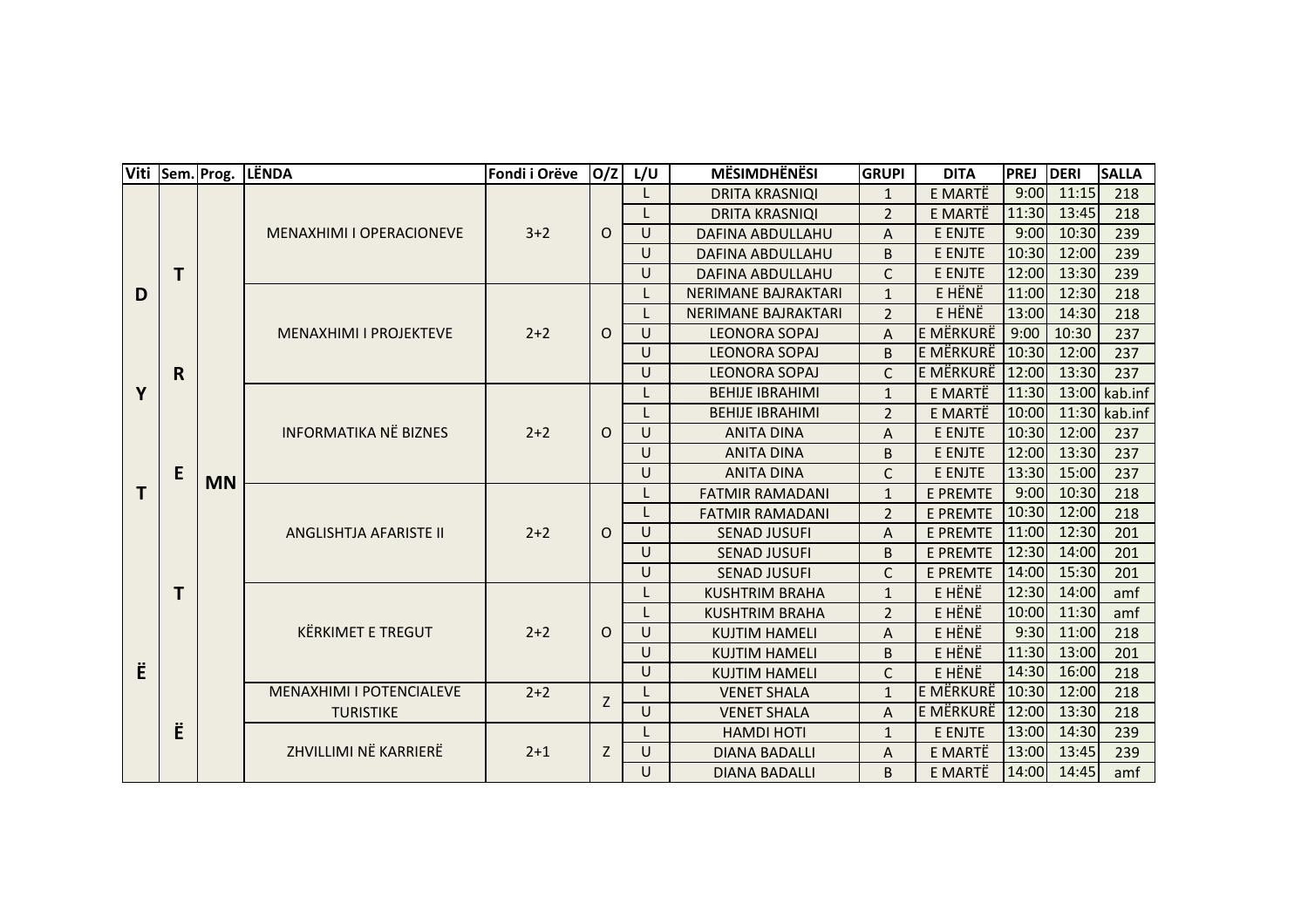|   | Viti Sem. Prog. |           | LËNDA                                                                                                                                                              | Fondi i Orëve  | O/Z          | L/U    | <b>MËSIMDHËNËSI</b>        | <b>GRUPI</b>            | <b>DITA</b>      | <b>PREJ</b> | DERI          | <b>SALLA</b>  |
|---|-----------------|-----------|--------------------------------------------------------------------------------------------------------------------------------------------------------------------|----------------|--------------|--------|----------------------------|-------------------------|------------------|-------------|---------------|---------------|
| D |                 |           | MENAXHIMI I OPERACIONEVE                                                                                                                                           | $3 + 2$        |              |        | <b>DRITA KRASNIQI</b>      | $\mathbf{1}$            | E MARTË          | 9:00        | 11:15         | 218           |
|   |                 |           |                                                                                                                                                                    |                |              |        | <b>DRITA KRASNIQI</b>      | $\overline{2}$          | E MARTË          | 11:30       | 13:45         | 218           |
|   |                 |           |                                                                                                                                                                    |                | $\circ$      | U      | <b>DAFINA ABDULLAHU</b>    | A                       | E ENJTE          | 9:00        | 10:30         | 239           |
|   |                 |           |                                                                                                                                                                    |                |              | U      | <b>DAFINA ABDULLAHU</b>    | B                       | E ENJTE          | 10:30       | 12:00         | 239           |
|   | T               |           |                                                                                                                                                                    |                |              | U      | <b>DAFINA ABDULLAHU</b>    | $\mathsf{C}$            | E ENJTE          | 12:00       | 13:30         | 239           |
|   |                 |           | <b>MENAXHIMI I PROJEKTEVE</b>                                                                                                                                      | $2 + 2$        | $\circ$      |        | <b>NERIMANE BAJRAKTARI</b> | $\mathbf{1}$            | E HËNË           | 11:00       | 12:30         | 218           |
|   |                 |           |                                                                                                                                                                    |                |              |        | <b>NERIMANE BAJRAKTARI</b> | $\overline{2}$          | E HËNË           | 13:00       | 14:30         | 218           |
|   |                 | <b>MN</b> |                                                                                                                                                                    |                |              | $\cup$ | <b>LEONORA SOPAJ</b>       | A                       | E MËRKURË        | 9:00        | 10:30         | 237           |
|   |                 |           |                                                                                                                                                                    |                |              | U      | <b>LEONORA SOPAJ</b>       | B                       | <b>E MËRKURË</b> | 10:30       | 12:00         | 237           |
|   | R.              |           |                                                                                                                                                                    |                |              | U      | <b>LEONORA SOPAJ</b>       | $\mathsf{C}$            | E MËRKURË        | 12:00       | 13:30         | 237           |
| Y |                 |           | <b>INFORMATIKA NË BIZNES</b><br>ANGLISHTJA AFARISTE II<br><b>KËRKIMET E TREGUT</b><br><b>MENAXHIMI I POTENCIALEVE</b><br><b>TURISTIKE</b><br>ZHVILLIMI NË KARRIERË |                |              |        | <b>BEHIJE IBRAHIMI</b>     | E MARTË<br>$\mathbf{1}$ | 11:30            |             | 13:00 kab.inf |               |
|   |                 |           |                                                                                                                                                                    | $2+2$<br>$2+2$ |              |        | <b>BEHIJE IBRAHIMI</b>     | $\overline{2}$          | E MARTË          | 10:00       |               | 11:30 kab.inf |
|   | E<br>T          |           |                                                                                                                                                                    |                | $\circ$      | $\cup$ | <b>ANITA DINA</b>          | A                       | E ENJTE          | 10:30       | 12:00         | 237           |
|   |                 |           |                                                                                                                                                                    |                |              | U      | <b>ANITA DINA</b>          | B                       | E ENJTE          | 12:00       | 13:30         | 237           |
|   |                 |           |                                                                                                                                                                    |                |              | U      | <b>ANITA DINA</b>          | C                       | E ENJTE          | 13:30       | 15:00         | 237           |
| T |                 |           |                                                                                                                                                                    |                |              |        | <b>FATMIR RAMADANI</b>     | $\mathbf{1}$            | <b>E PREMTE</b>  | 9:00        | 10:30         | 218           |
|   |                 |           |                                                                                                                                                                    |                |              |        | <b>FATMIR RAMADANI</b>     | $\overline{2}$          | <b>E PREMTE</b>  | 10:30       | 12:00         | 218           |
|   |                 |           |                                                                                                                                                                    |                | $\Omega$     | $\cup$ | <b>SENAD JUSUFI</b>        | A                       | <b>E PREMTE</b>  | 11:00       | 12:30         | 201           |
|   |                 |           |                                                                                                                                                                    |                |              | U      | <b>SENAD JUSUFI</b>        | B                       | <b>E PREMTE</b>  | 12:30       | 14:00         | 201           |
|   |                 |           |                                                                                                                                                                    |                |              | U      | <b>SENAD JUSUFI</b>        | $\mathsf{C}$            | <b>E PREMTE</b>  | 14:00       | 15:30         | 201           |
|   |                 |           |                                                                                                                                                                    |                |              |        | <b>KUSHTRIM BRAHA</b>      | E HËNË<br>$\mathbf{1}$  | 12:30            | 14:00       | amf           |               |
|   |                 |           |                                                                                                                                                                    | $2+2$<br>$2+2$ | $\circ$<br>Z |        | <b>KUSHTRIM BRAHA</b>      | $\overline{2}$          | E HÊNÊ           | 10:00       | 11:30         | amf           |
|   |                 |           |                                                                                                                                                                    |                |              | $\cup$ | <b>KUJTIM HAMELI</b>       | A                       | E HËNË           | 9:30        | 11:00         | 218           |
|   |                 |           |                                                                                                                                                                    |                |              | U      | <b>KUJTIM HAMELI</b>       | B                       | E HËNË           | 11:30       | 13:00         | 201           |
| Ë |                 |           |                                                                                                                                                                    |                |              | U      | <b>KUJTIM HAMELI</b>       | $\mathsf{C}$            | E HËNË           | 14:30       | 16:00         | 218           |
|   | Ë               |           |                                                                                                                                                                    |                |              |        | <b>VENET SHALA</b>         | $\mathbf{1}$            | E MËRKURË        | 10:30       | 12:00         | 218           |
|   |                 |           |                                                                                                                                                                    |                |              | $\cup$ | <b>VENET SHALA</b>         | A                       | E MËRKURË        | 12:00       | 13:30         | 218           |
|   |                 |           |                                                                                                                                                                    | $2 + 1$        |              |        | <b>HAMDI HOTI</b>          | $\mathbf{1}$            | E ENJTE          | 13:00       | 14:30         | 239           |
|   |                 |           |                                                                                                                                                                    |                | Z            | U      | <b>DIANA BADALLI</b>       | Α                       | E MARTË          | 13:00       | 13:45         | 239           |
|   |                 |           |                                                                                                                                                                    |                |              | $\cup$ | <b>DIANA BADALLI</b>       | <sub>B</sub>            | E MARTË          | 14:00       | 14:45         | amf           |